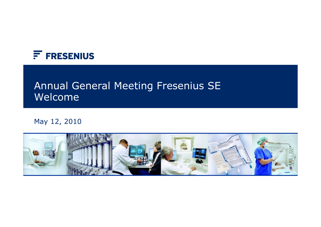

# Annual General Meeting Fresenius SE Welcome

#### May 12, 2010

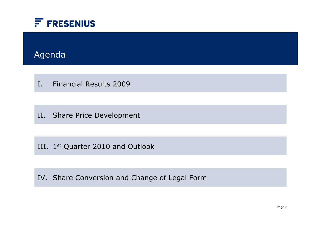

### Agenda

I. Financial Results 2009

II. Share Price Development

III. 1st Quarter 2010 and Outlook

IV. Share Conversion and Change of Legal Form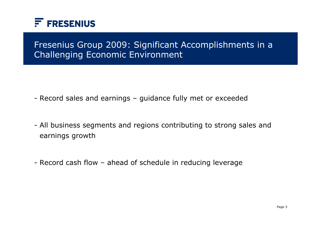

### Fresenius Group 2009: Significant Accomplishments in a Challenging Economic Environment

- Record sales and earnings guidance fully met or exceeded
- All business segments and regions contributing to strong sales and earnings growth
- Record cash flow ahead of schedule in reducing leverage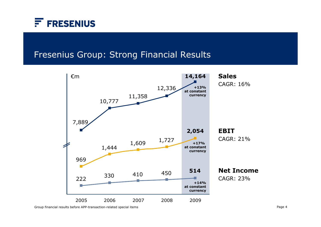

#### Fresenius Group: Strong Financial Results



Group financial results before APP-transaction-related special items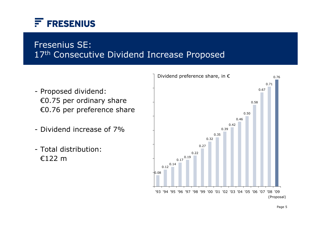

### 17<sup>th</sup> Consecutive Dividend Increase Proposed Fresenius SE:

- Proposed dividend: €0.75 per ordinary share €0.76 per preference share
- Dividend increase of 7%
- Total distribution:€122 m

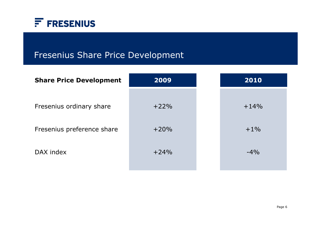

## Fresenius Share Price Development

| <b>Share Price Development</b> | 2009   | 2010   |
|--------------------------------|--------|--------|
| Fresenius ordinary share       | $+22%$ | $+14%$ |
| Fresenius preference share     | $+20%$ | $+1\%$ |
| DAX index                      | $+24%$ | $-4\%$ |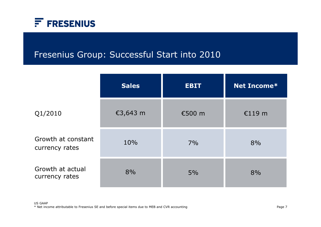

### Fresenius Group: Successful Start into 2010

|                                      | <b>Sales</b> | <b>EBIT</b> | Net Income* |
|--------------------------------------|--------------|-------------|-------------|
| Q1/2010                              | €3,643 m     | €500 m      | €119 $m$    |
| Growth at constant<br>currency rates | 10%          | 7%          | 8%          |
| Growth at actual<br>currency rates   | 8%           | 5%          | 8%          |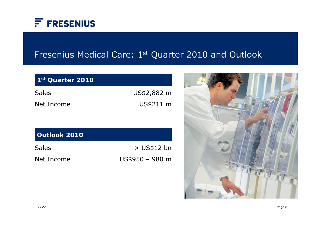

# Fresenius Medical Care: 1st Quarter 2010 and Outlook

| US\$2,882 m |
|-------------|
| US\$211 m   |
|             |
|             |
|             |

| Sales      | $>$ US\$12 bn   |
|------------|-----------------|
| Net Income | US\$950 - 980 m |

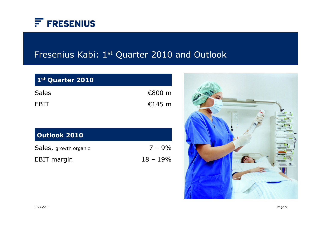

## Fresenius Kabi: 1st Quarter 2010 and Outlook

| 1st Quarter 2010      |            |
|-----------------------|------------|
| <b>Sales</b>          | €800 $m$   |
| <b>EBIT</b>           | €145 $m$   |
|                       |            |
| <b>Outlook 2010</b>   |            |
| Sales, growth organic | $7 - 9%$   |
| <b>EBIT</b> margin    | $18 - 19%$ |

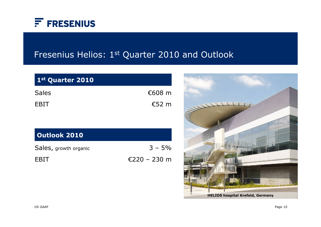

## Fresenius Helios: 1st Quarter 2010 and Outlook

| 1st Quarter 2010      |              |
|-----------------------|--------------|
| <b>Sales</b>          | €608 $m$     |
| <b>EBIT</b>           | €52 $m$      |
|                       |              |
| <b>Outlook 2010</b>   |              |
| Sales, growth organic | $3 - 5\%$    |
| <b>FBIT</b>           | €220 – 230 m |

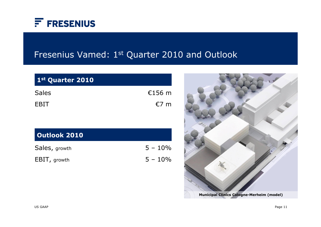

### Fresenius Vamed: 1st Quarter 2010 and Outlook

| 1st Quarter 2010    |            |
|---------------------|------------|
| <b>Sales</b>        | €156 $m$   |
| <b>EBIT</b>         | €7 $m$     |
|                     |            |
| <b>Outlook 2010</b> |            |
| Sales, growth       | $5 - 10\%$ |
| EBIT, growth        | $5 - 10\%$ |
|                     |            |

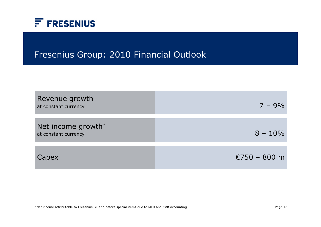

### Fresenius Group: 2010 Financial Outlook

| Revenue growth<br>at constant currency     | $7 - 9\%$    |
|--------------------------------------------|--------------|
| Net income growth*<br>at constant currency | $8 - 10\%$   |
| Capex                                      | €750 - 800 m |

\* Net income attributable to Fresenius SE and before special items due to MEB and CVR accounting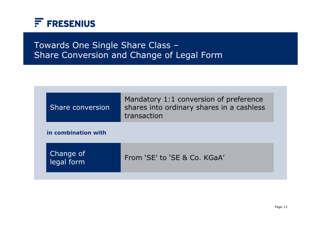

### Towards One Single Share Class – Share Conversion and Change of Legal Form

| Share conversion        | Mandatory 1:1 conversion of preference<br>shares into ordinary shares in a cashless<br>transaction |
|-------------------------|----------------------------------------------------------------------------------------------------|
| in combination with     |                                                                                                    |
| Change of<br>legal form | From 'SE' to 'SE & Co. KGaA'                                                                       |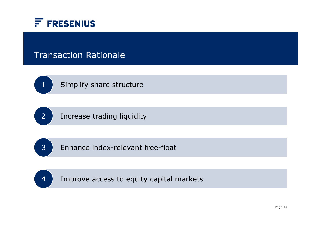

#### Transaction Rationale



Simplify share structure



Increase trading liquidity



Enhance index-relevant free-float

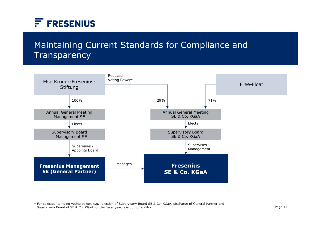

## Maintaining Current Standards for Compliance and **Transparency**



\* For selected items no voting power, e.g.: election of Supervisory Board SE & Co. KGaA, discharge of General Partner and Supervisory Board of SE & Co. KGaA for the fiscal year, election of auditor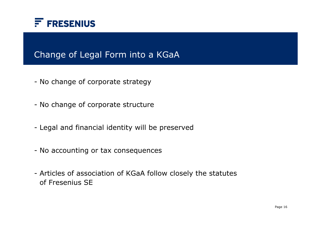

#### Change of Legal Form into a KGaA

- No change of corporate strategy
- No change of corporate structure
- Legal and financial identity will be preserved
- No accounting or tax consequences
- Articles of association of KGaA follow closely the statutes of Fresenius SE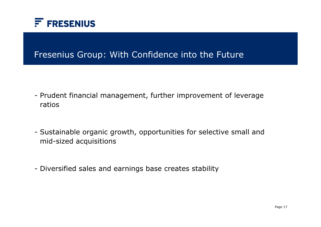

#### Fresenius Group: With Confidence into the Future

- Prudent financial management, further improvement of leverage ratios
- Sustainable organic growth, opportunities for selective small and mid-sized acquisitions
- Diversified sales and earnings base creates stability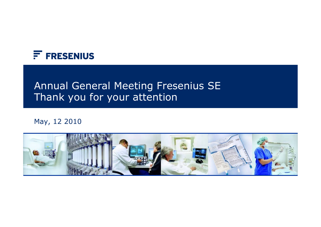

## Annual General Meeting Fresenius SE Thank you for your attention

#### May, 12 2010